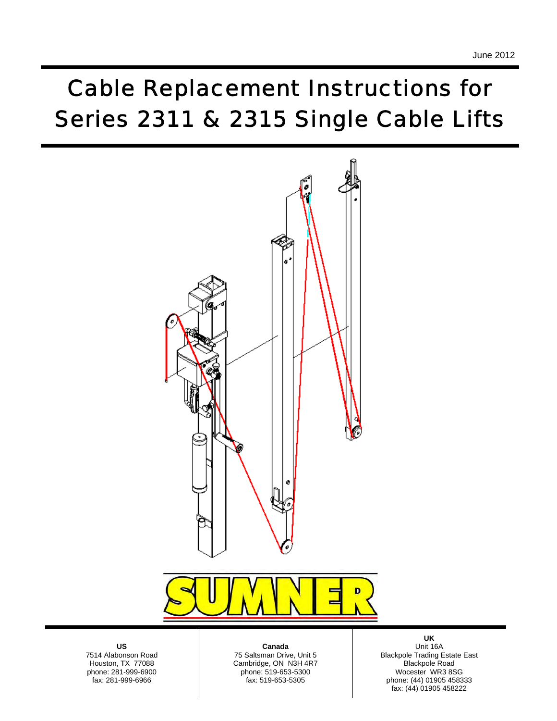# *Cable Replacement Instructions for Series 2311 & 2315 Single Cable Lifts*



**US**  7514 Alabonson Road Houston, TX 77088 phone: 281-999-6900 fax: 281-999-6966

phone: 519-653-5300 **Canada**  75 Saltsman Drive, Unit 5 Cambridge, ON N3H 4R7 fax: 519-653-5305

**UK**  Unit 16A Blackpole Trading Estate East Blackpole Road Wocester WR3 8SG phone: (44) 01905 458333 fax: (44) 01905 458222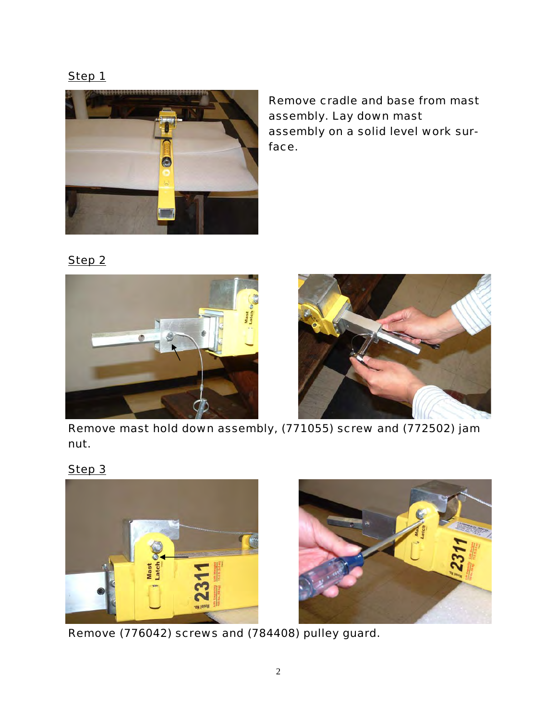

*Remove cradle and base from mast assembly. Lay down mast assembly on a solid level work surface.* 

*Step 2*





*Remove mast hold down assembly, (771055) screw and (772502) jam nut.* 

*Step 3*





*Remove (776042) screws and (784408) pulley guard.*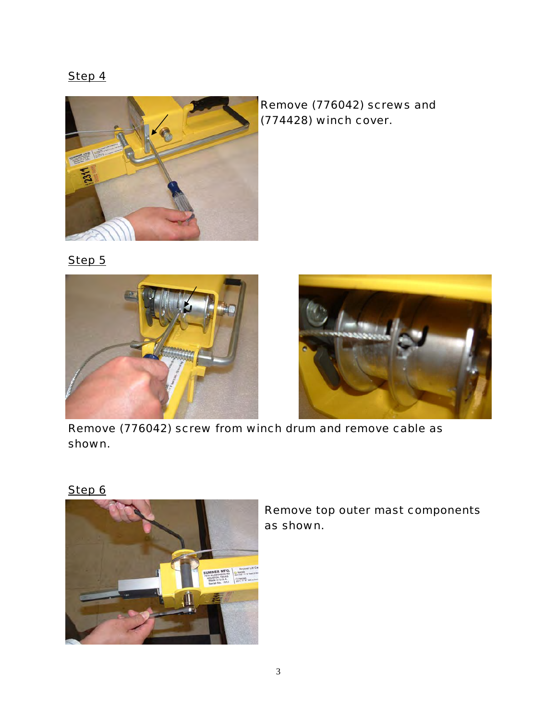



*Remove (776042) screws and (774428) winch cover.* 

*Step 5*





*Remove (776042) screw from winch drum and remove cable as shown.* 





*Remove top outer mast components as shown.*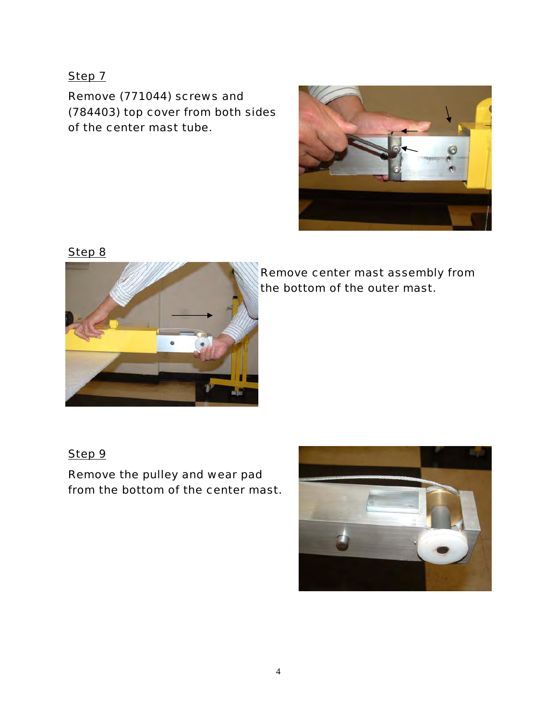*Remove (771044) screws and (784403) top cover from both sides of the center mast tube.* 



*Step 8*



*Remove center mast assembly from the bottom of the outer mast.* 

#### *Step 9*

*Remove the pulley and wear pad from the bottom of the center mast.* 

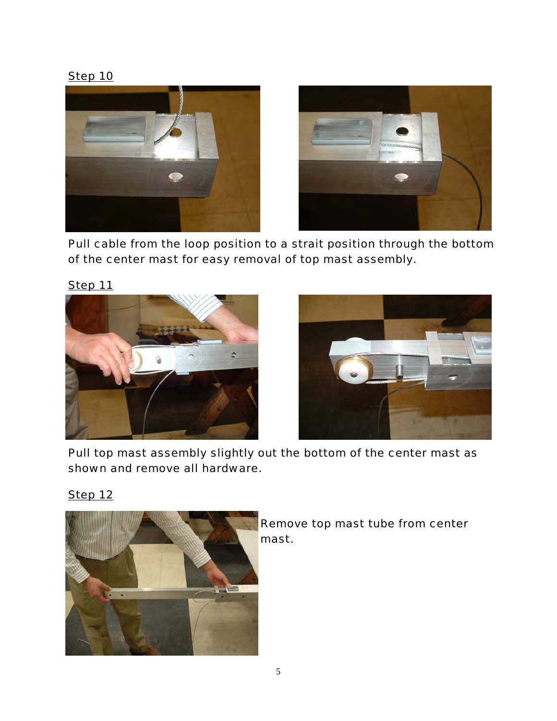



*Pull cable from the loop position to a strait position through the bottom of the center mast for easy removal of top mast assembly.* 





*Pull top mast assembly slightly out the bottom of the center mast as shown and remove all hardware.* 

# *Step 12*



*Remove top mast tube from center mast.*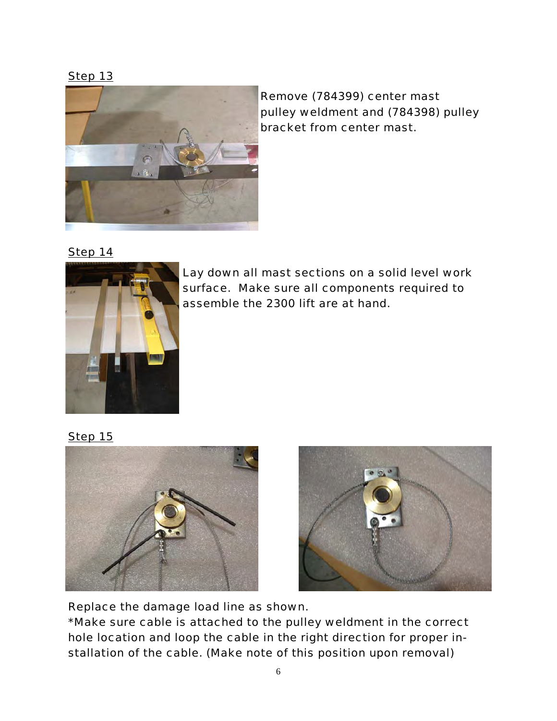*Step 13*



*Remove (784399) center mast pulley weldment and (784398) pulley bracket from center mast.* 

*Step 14*



*Lay down all mast sections on a solid level work surface. Make sure all components required to assemble the 2300 lift are at hand.* 

*Step 15*





*Replace the damage load line as shown. \*Make sure cable is attached to the pulley weldment in the correct hole location and loop the cable in the right direction for proper installation of the cable. (Make note of this position upon removal)*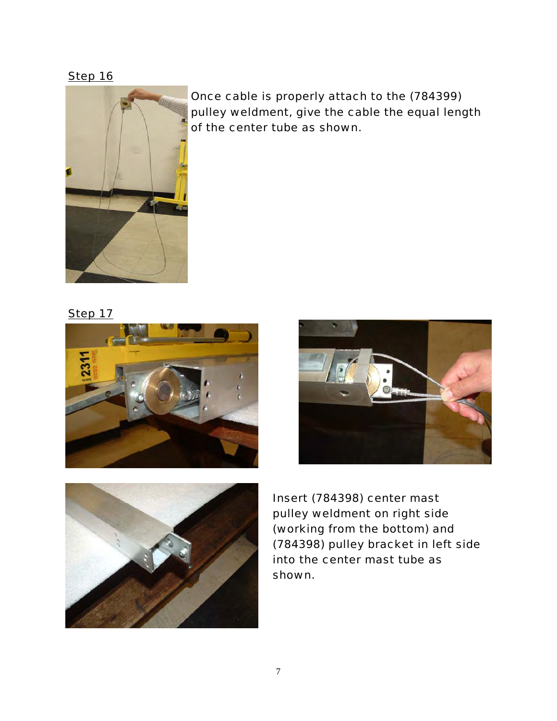*Step 16*



*Once cable is properly attach to the (784399) pulley weldment, give the cable the equal length of the center tube as shown.* 

*Step 17*







*Insert (784398) center mast pulley weldment on right side (working from the bottom) and (784398) pulley bracket in left side into the center mast tube as shown.*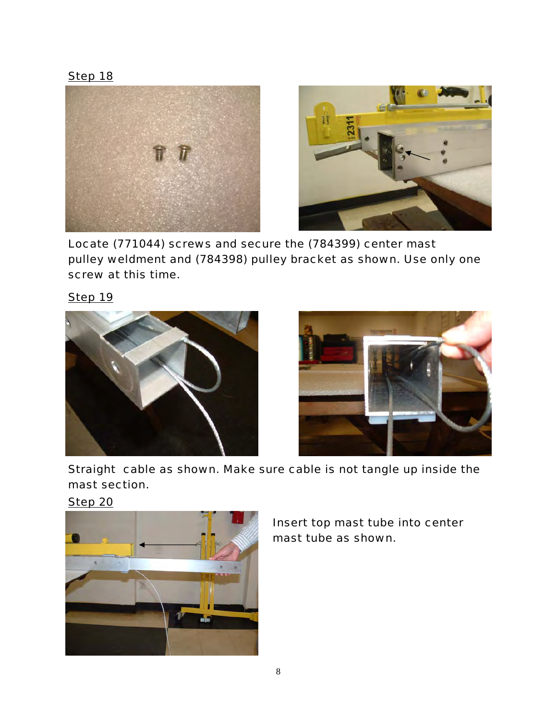*Step 18*



*Locate (771044) screws and secure the (784399) center mast pulley weldment and (784398) pulley bracket as shown. Use only one screw at this time.* 





*Straight cable as shown. Make sure cable is not tangle up inside the mast section.* 

*Step 20*



*Insert top mast tube into center mast tube as shown.*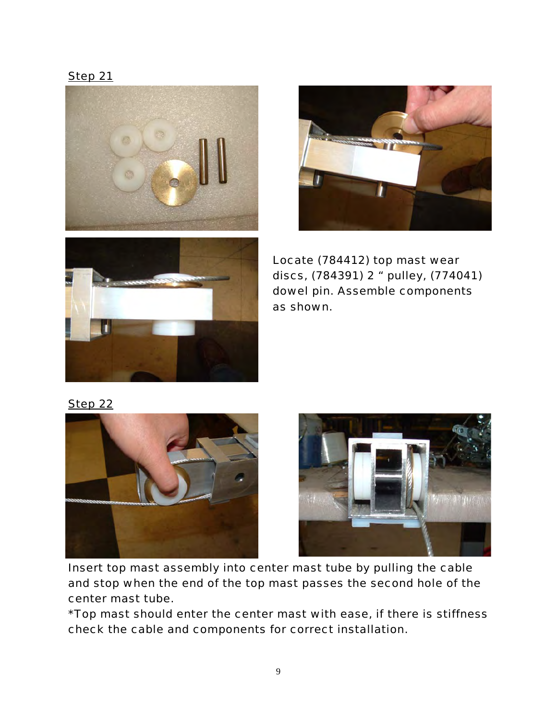*Step 21* 







*Locate (784412) top mast wear discs, (784391) 2 " pulley, (774041) dowel pin. Assemble components as shown.* 

*Step 22*





*Insert top mast assembly into center mast tube by pulling the cable and stop when the end of the top mast passes the second hole of the center mast tube.* 

*\*Top mast should enter the center mast with ease, if there is stiffness check the cable and components for correct installation.*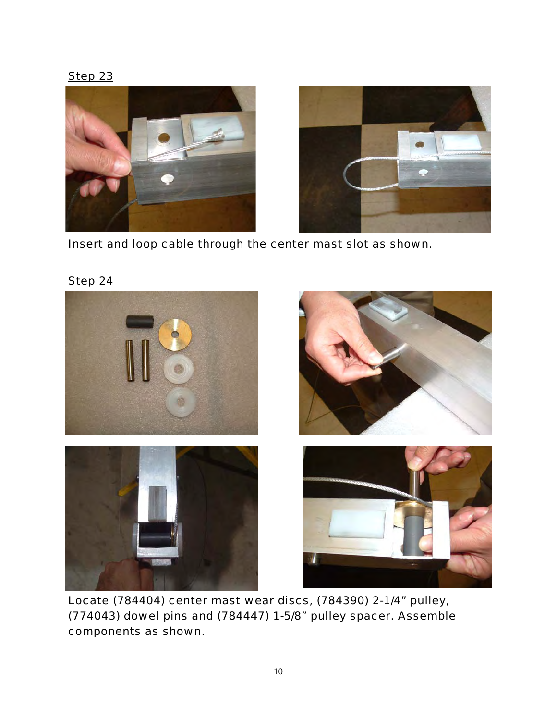*Step 23*



*Insert and loop cable through the center mast slot as shown.* 



*Locate (784404) center mast wear discs, (784390) 2-1/4" pulley, (774043) dowel pins and (784447) 1-5/8" pulley spacer. Assemble components as shown.*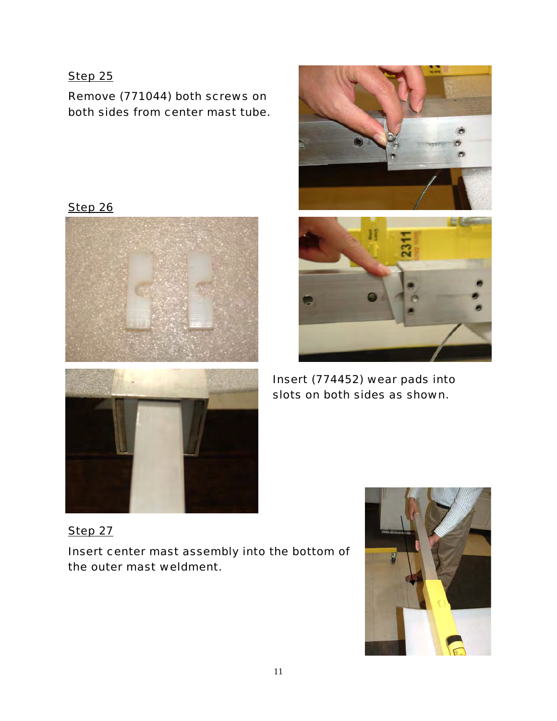*Remove (771044) both screws on both sides from center mast tube.* 

*Step 26*





*Insert (774452) wear pads into slots on both sides as shown.* 

*Step 27 Insert center mast assembly into the bottom of the outer mast weldment.* 

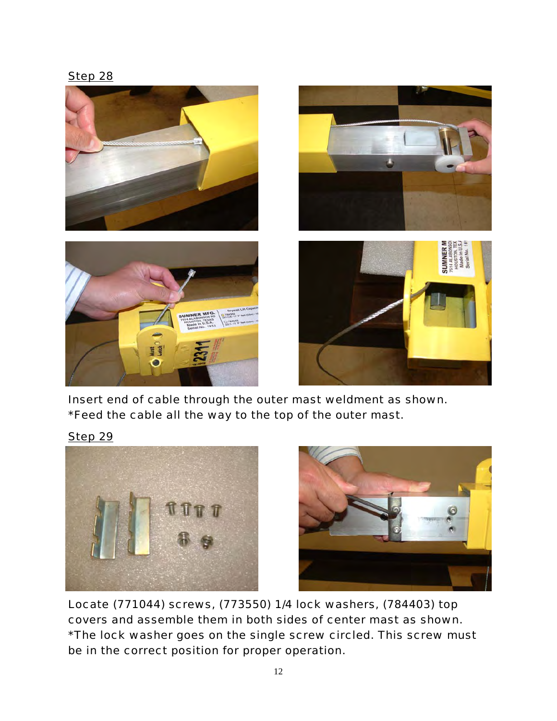

*Insert end of cable through the outer mast weldment as shown. \*Feed the cable all the way to the top of the outer mast.* 





*Locate (771044) screws, (773550) 1/4 lock washers, (784403) top covers and assemble them in both sides of center mast as shown. \*The lock washer goes on the single screw circled. This screw must be in the correct position for proper operation.*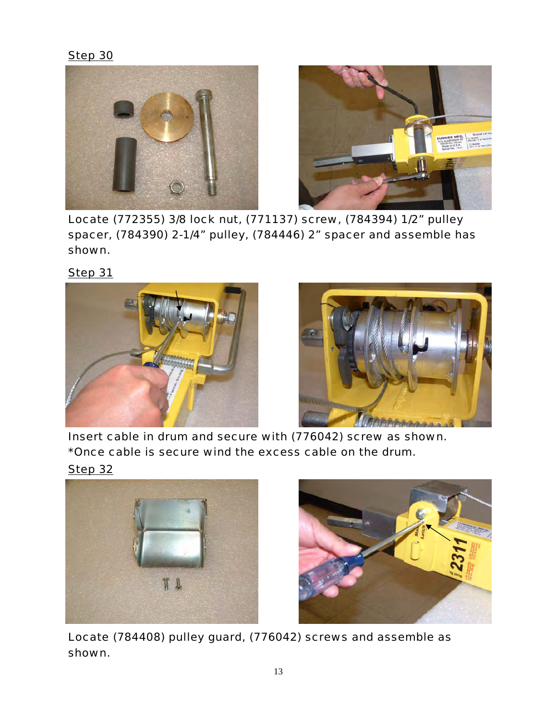



*Locate (772355) 3/8 lock nut, (771137) screw, (784394) 1/2" pulley spacer, (784390) 2-1/4" pulley, (784446) 2" spacer and assemble has shown.* 

*Step 31*





*Insert cable in drum and secure with (776042) screw as shown. \*Once cable is secure wind the excess cable on the drum.* 







*Locate (784408) pulley guard, (776042) screws and assemble as shown.*